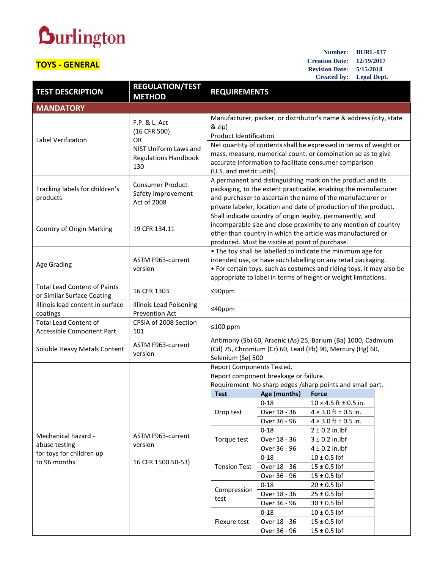## **Durlington**

## **TOYS - GENERAL**

**Number: BURL-037 Creation Date: 12/19/2017 Revision Date: 5/15/2018 Created by: Legal Dept.**

| <b>TEST DESCRIPTION</b>                                                            | <b>REGULATION/TEST</b><br><b>METHOD</b>                      | <b>REQUIREMENTS</b>                                                                                                                                                                                                                                                    |                              |                                                   |  |
|------------------------------------------------------------------------------------|--------------------------------------------------------------|------------------------------------------------------------------------------------------------------------------------------------------------------------------------------------------------------------------------------------------------------------------------|------------------------------|---------------------------------------------------|--|
| <b>MANDATORY</b>                                                                   |                                                              |                                                                                                                                                                                                                                                                        |                              |                                                   |  |
| Label Verification                                                                 | F.P. & L. Act<br>(16 CFR 500)                                | Manufacturer, packer, or distributor's name & address (city, state<br>& zip)                                                                                                                                                                                           |                              |                                                   |  |
|                                                                                    | OR.                                                          | <b>Product Identification</b>                                                                                                                                                                                                                                          |                              |                                                   |  |
|                                                                                    | NIST Uniform Laws and<br><b>Regulations Handbook</b><br>130  | Net quantity of contents shall be expressed in terms of weight or<br>mass, measure, numerical count, or combination so as to give<br>accurate information to facilitate consumer comparison<br>(U.S. and metric units).                                                |                              |                                                   |  |
| Tracking labels for children's<br>products                                         | <b>Consumer Product</b><br>Safety Improvement<br>Act of 2008 | A permanent and distinguishing mark on the product and its<br>packaging, to the extent practicable, enabling the manufacturer<br>and purchaser to ascertain the name of the manufacturer or<br>private labeler, location and date of production of the product.        |                              |                                                   |  |
| Country of Origin Marking                                                          | 19 CFR 134.11                                                | Shall indicate country of origin legibly, permanently, and<br>incomparable size and close proximity to any mention of country<br>other than country in which the article was manufactured or<br>produced. Must be visible at point of purchase.                        |                              |                                                   |  |
| Age Grading                                                                        | ASTM F963-current<br>version                                 | . The toy shall be labelled to indicate the minimum age for<br>intended use, or have such labelling on any retail packaging.<br>• For certain toys, such as costumes and riding toys, it may also be<br>appropriate to label in terms of height or weight limitations. |                              |                                                   |  |
| <b>Total Lead Content of Paints</b><br>or Similar Surface Coating                  | 16 CFR 1303                                                  | ≤90ppm                                                                                                                                                                                                                                                                 |                              |                                                   |  |
| Illinois lead content in surface<br>coatings                                       | <b>Illinois Lead Poisoning</b><br>Prevention Act             | $≤40$ ppm                                                                                                                                                                                                                                                              |                              |                                                   |  |
| <b>Total Lead Content of</b><br>Accessible Component Part                          | CPSIA of 2008 Section<br>101                                 | ≤100 ppm                                                                                                                                                                                                                                                               |                              |                                                   |  |
| Soluble Heavy Metals Content                                                       | ASTM F963-current<br>version                                 | Antimony (Sb) 60, Arsenic (As) 25, Barium (Ba) 1000, Cadmium<br>(Cd) 75, Chromium (Cr) 60, Lead (Pb) 90, Mercury (Hg) 60,<br>Selenium (Se) 500                                                                                                                         |                              |                                                   |  |
|                                                                                    | ASTM F963-current<br>version<br>16 CFR 1500.50-53)           | Report Components Tested.                                                                                                                                                                                                                                              |                              |                                                   |  |
|                                                                                    |                                                              | Report component breakage or failure.                                                                                                                                                                                                                                  |                              |                                                   |  |
|                                                                                    |                                                              | Requirement: No sharp edges /sharp points and small part.                                                                                                                                                                                                              |                              |                                                   |  |
|                                                                                    |                                                              | <b>Test</b>                                                                                                                                                                                                                                                            | Age (months)                 | <b>Force</b>                                      |  |
|                                                                                    |                                                              | Drop test                                                                                                                                                                                                                                                              | $0 - 18$                     | $10 \times 4.5$ ft ± 0.5 in.                      |  |
| Mechanical hazard -<br>abuse testing -<br>for toys for children up<br>to 96 months |                                                              |                                                                                                                                                                                                                                                                        | Over 18 - 36<br>Over 36 - 96 | $4 \times 3.0$ ft ± 0.5 in.                       |  |
|                                                                                    |                                                              |                                                                                                                                                                                                                                                                        | $0 - 18$                     | $4 \times 3.0$ ft ± 0.5 in.<br>$2 \pm 0.2$ in.lbf |  |
|                                                                                    |                                                              | Torque test<br><b>Tension Test</b>                                                                                                                                                                                                                                     | Over 18 - 36                 | $3 \pm 0.2$ in.lbf                                |  |
|                                                                                    |                                                              |                                                                                                                                                                                                                                                                        | Over 36 - 96                 | $4 \pm 0.2$ in.lbf                                |  |
|                                                                                    |                                                              |                                                                                                                                                                                                                                                                        | $0 - 18$                     | $10 \pm 0.5$ lbf                                  |  |
|                                                                                    |                                                              |                                                                                                                                                                                                                                                                        | Over 18 - 36                 | $15 \pm 0.5$ lbf                                  |  |
|                                                                                    |                                                              |                                                                                                                                                                                                                                                                        | Over 36 - 96                 | $15 \pm 0.5$ lbf                                  |  |
|                                                                                    |                                                              | Compression<br>test                                                                                                                                                                                                                                                    | $0 - 18$                     | $20 \pm 0.5$ lbf                                  |  |
|                                                                                    |                                                              |                                                                                                                                                                                                                                                                        | Over 18 - 36                 | $25 \pm 0.5$ lbf                                  |  |
|                                                                                    |                                                              |                                                                                                                                                                                                                                                                        | Over 36 - 96                 | $30 \pm 0.5$ lbf                                  |  |
|                                                                                    |                                                              | Flexure test                                                                                                                                                                                                                                                           | $0 - 18$                     | $10 \pm 0.5$ lbf                                  |  |
|                                                                                    |                                                              |                                                                                                                                                                                                                                                                        | Over 18 - 36                 | $15 \pm 0.5$ lbf                                  |  |
|                                                                                    |                                                              |                                                                                                                                                                                                                                                                        | Over 36 - 96                 | $15 \pm 0.5$ lbf                                  |  |